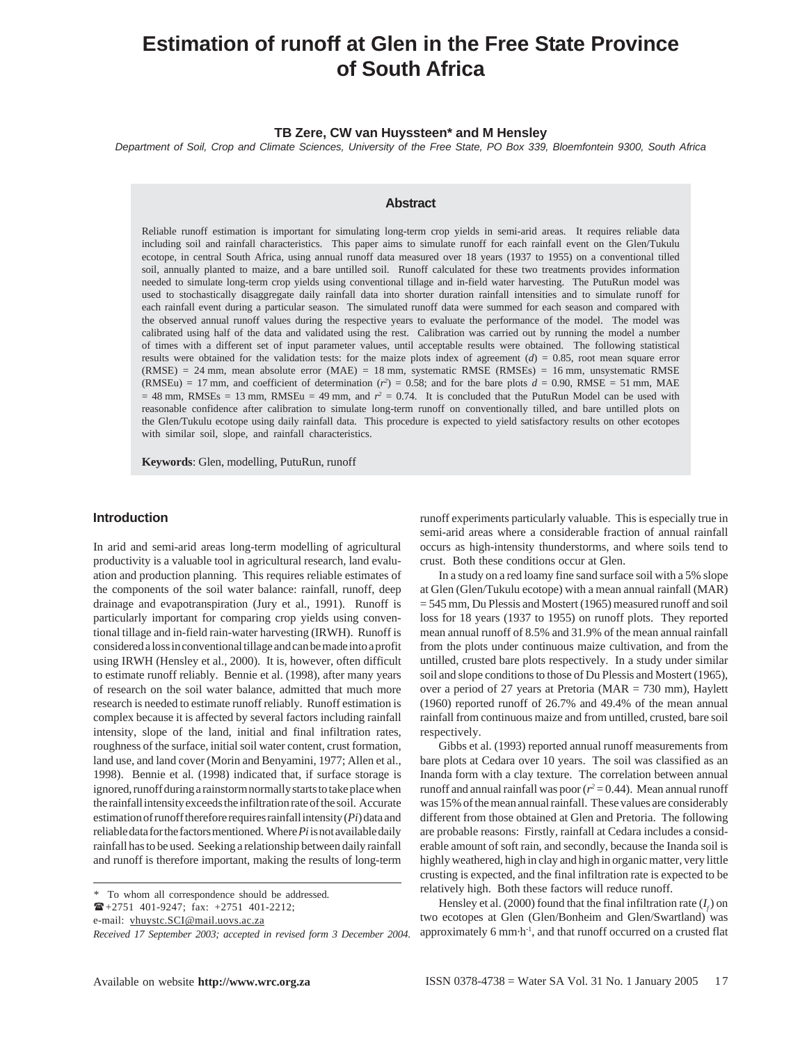# **Estimation of runoff at Glen in the Free State Province of South Africa**

## **TB Zere, CW van Huyssteen\* and M Hensley**

*Department of Soil, Crop and Climate Sciences, University of the Free State, PO Box 339, Bloemfontein 9300, South Africa*

# **Abstract**

Reliable runoff estimation is important for simulating long-term crop yields in semi-arid areas. It requires reliable data including soil and rainfall characteristics. This paper aims to simulate runoff for each rainfall event on the Glen/Tukulu ecotope, in central South Africa, using annual runoff data measured over 18 years (1937 to 1955) on a conventional tilled soil, annually planted to maize, and a bare untilled soil. Runoff calculated for these two treatments provides information needed to simulate long-term crop yields using conventional tillage and in-field water harvesting. The PutuRun model was used to stochastically disaggregate daily rainfall data into shorter duration rainfall intensities and to simulate runoff for each rainfall event during a particular season. The simulated runoff data were summed for each season and compared with the observed annual runoff values during the respective years to evaluate the performance of the model. The model was calibrated using half of the data and validated using the rest. Calibration was carried out by running the model a number of times with a different set of input parameter values, until acceptable results were obtained. The following statistical results were obtained for the validation tests: for the maize plots index of agreement  $(d) = 0.85$ , root mean square error (RMSE) = 24 mm, mean absolute error (MAE) = 18 mm, systematic RMSE (RMSEs) = 16 mm, unsystematic RMSE  $(RMSEu) = 17$  mm, and coefficient of determination  $(r^2) = 0.58$ ; and for the bare plots  $d = 0.90$ , RMSE = 51 mm, MAE  $= 48$  mm, RMSEs  $= 13$  mm, RMSEu  $= 49$  mm, and  $r^2 = 0.74$ . It is concluded that the PutuRun Model can be used with reasonable confidence after calibration to simulate long-term runoff on conventionally tilled, and bare untilled plots on the Glen/Tukulu ecotope using daily rainfall data. This procedure is expected to yield satisfactory results on other ecotopes with similar soil, slope, and rainfall characteristics.

**Keywords**: Glen, modelling, PutuRun, runoff

# **Introduction**

In arid and semi-arid areas long-term modelling of agricultural productivity is a valuable tool in agricultural research, land evaluation and production planning. This requires reliable estimates of the components of the soil water balance: rainfall, runoff, deep drainage and evapotranspiration (Jury et al., 1991). Runoff is particularly important for comparing crop yields using conventional tillage and in-field rain-water harvesting (IRWH). Runoff is considered a loss in conventional tillage and can be made into a profit using IRWH (Hensley et al., 2000). It is, however, often difficult to estimate runoff reliably. Bennie et al. (1998), after many years of research on the soil water balance, admitted that much more research is needed to estimate runoff reliably. Runoff estimation is complex because it is affected by several factors including rainfall intensity, slope of the land, initial and final infiltration rates, roughness of the surface, initial soil water content, crust formation, land use, and land cover (Morin and Benyamini, 1977; Allen et al., 1998). Bennie et al. (1998) indicated that, if surface storage is ignored, runoff during a rainstorm normally starts to take place when the rainfall intensity exceeds the infiltration rate of the soil. Accurate estimation of runoff therefore requires rainfall intensity (*Pi*) data and reliable data for the factors mentioned. Where *Pi* is not available daily rainfall has to be used. Seeking a relationship between daily rainfall and runoff is therefore important, making the results of long-term

e-mail: vhuystc.SCI@mail.uovs.ac.za

runoff experiments particularly valuable. This is especially true in semi-arid areas where a considerable fraction of annual rainfall occurs as high-intensity thunderstorms, and where soils tend to crust. Both these conditions occur at Glen.

In a study on a red loamy fine sand surface soil with a 5% slope at Glen (Glen/Tukulu ecotope) with a mean annual rainfall (MAR) = 545 mm, Du Plessis and Mostert (1965) measured runoff and soil loss for 18 years (1937 to 1955) on runoff plots. They reported mean annual runoff of 8.5% and 31.9% of the mean annual rainfall from the plots under continuous maize cultivation, and from the untilled, crusted bare plots respectively. In a study under similar soil and slope conditions to those of Du Plessis and Mostert (1965), over a period of 27 years at Pretoria ( $MAR = 730$  mm), Haylett (1960) reported runoff of 26.7% and 49.4% of the mean annual rainfall from continuous maize and from untilled, crusted, bare soil respectively.

Gibbs et al. (1993) reported annual runoff measurements from bare plots at Cedara over 10 years. The soil was classified as an Inanda form with a clay texture. The correlation between annual runoff and annual rainfall was poor  $(r^2 = 0.44)$ . Mean annual runoff was 15% of the mean annual rainfall. These values are considerably different from those obtained at Glen and Pretoria. The following are probable reasons: Firstly, rainfall at Cedara includes a considerable amount of soft rain, and secondly, because the Inanda soil is highly weathered, high in clay and high in organic matter, very little crusting is expected, and the final infiltration rate is expected to be relatively high. Both these factors will reduce runoff.

Hensley et al. (2000) found that the final infiltration rate  $(I_f)$  on two ecotopes at Glen (Glen/Bonheim and Glen/Swartland) was approximately 6 mm $\cdot$ h<sup>-1</sup>, and that runoff occurred on a crusted flat

*<sup>\*</sup>* To whom all correspondence should be addressed.

 $\mathbf{E}$ +2751 401-9247; fax: +2751 401-2212;

*Received 17 September 2003; accepted in revised form 3 December 2004*.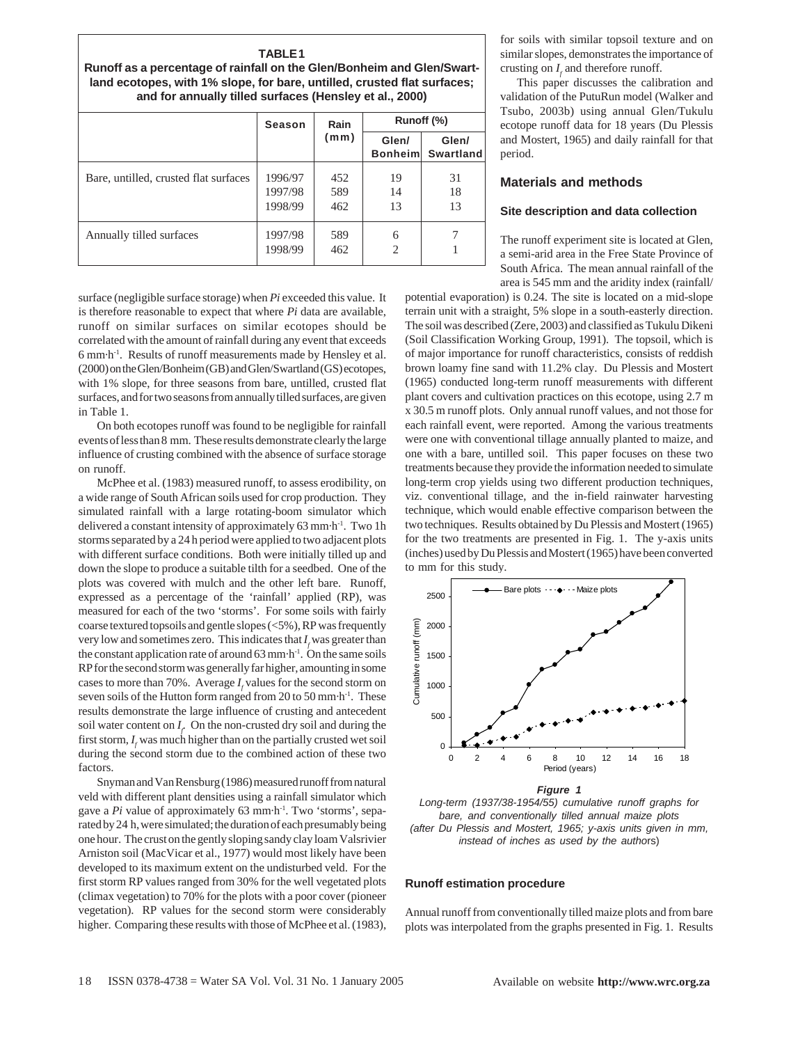| <b>TABLE1</b><br>Runoff as a percentage of rainfall on the Glen/Bonheim and Glen/Swart-                                             |  |  |             |  |
|-------------------------------------------------------------------------------------------------------------------------------------|--|--|-------------|--|
| land ecotopes, with 1% slope, for bare, untilled, crusted flat surfaces;<br>and for annually tilled surfaces (Hensley et al., 2000) |  |  |             |  |
|                                                                                                                                     |  |  | Runoff (% ) |  |

|                                       | Season                        | Rain<br>(mm)      | Runoff (%)              |                           |
|---------------------------------------|-------------------------------|-------------------|-------------------------|---------------------------|
|                                       |                               |                   | Glen/<br><b>Bonheim</b> | Glen/<br><b>Swartland</b> |
| Bare, untilled, crusted flat surfaces | 1996/97<br>1997/98<br>1998/99 | 452<br>589<br>462 | 19<br>14<br>13          | 31<br>18<br>13            |
| Annually tilled surfaces              | 1997/98<br>1998/99            | 589<br>462        | 6<br>$\overline{2}$     |                           |

surface (negligible surface storage) when *Pi* exceeded this value. It is therefore reasonable to expect that where *Pi* data are available, runoff on similar surfaces on similar ecotopes should be correlated with the amount of rainfall during any event that exceeds 6 mm·h-1. Results of runoff measurements made by Hensley et al. (2000) on the Glen/Bonheim (GB) and Glen/Swartland (GS) ecotopes, with 1% slope, for three seasons from bare, untilled, crusted flat surfaces, and for two seasons from annually tilled surfaces, are given in Table 1.

On both ecotopes runoff was found to be negligible for rainfall events of less than 8 mm. These results demonstrate clearly the large influence of crusting combined with the absence of surface storage on runoff.

McPhee et al. (1983) measured runoff, to assess erodibility, on a wide range of South African soils used for crop production. They simulated rainfall with a large rotating-boom simulator which delivered a constant intensity of approximately 63 mm·h-1. Two 1h storms separated by a 24 h period were applied to two adjacent plots with different surface conditions. Both were initially tilled up and down the slope to produce a suitable tilth for a seedbed. One of the plots was covered with mulch and the other left bare. Runoff, expressed as a percentage of the 'rainfall' applied (RP), was measured for each of the two 'storms'. For some soils with fairly coarse textured topsoils and gentle slopes (<5%), RP was frequently very low and sometimes zero. This indicates that  $I_f$  was greater than the constant application rate of around  $63$  mm $\cdot$ h<sup>-1</sup>. On the same soils RP for the second storm was generally far higher, amounting in some cases to more than 70%. Average  $I_f$  values for the second storm on seven soils of the Hutton form ranged from 20 to 50 mm·h-1. These results demonstrate the large influence of crusting and antecedent soil water content on  $I_f$ . On the non-crusted dry soil and during the first storm,  $I_f$  was much higher than on the partially crusted wet soil during the second storm due to the combined action of these two factors.

Snyman and Van Rensburg (1986) measured runoff from natural veld with different plant densities using a rainfall simulator which gave a *Pi* value of approximately 63 mm·h<sup>-1</sup>. Two 'storms', separated by 24 h, were simulated; the duration of each presumably being one hour. The crust on the gently sloping sandy clay loam Valsrivier Arniston soil (MacVicar et al., 1977) would most likely have been developed to its maximum extent on the undisturbed veld. For the first storm RP values ranged from 30% for the well vegetated plots (climax vegetation) to 70% for the plots with a poor cover (pioneer vegetation). RP values for the second storm were considerably higher. Comparing these results with those of McPhee et al. (1983), for soils with similar topsoil texture and on similar slopes, demonstrates the importance of crusting on  $I_f$  and therefore runoff.

This paper discusses the calibration and validation of the PutuRun model (Walker and Tsubo, 2003b) using annual Glen/Tukulu ecotope runoff data for 18 years (Du Plessis and Mostert, 1965) and daily rainfall for that period.

# **Materials and methods**

### **Site description and data collection**

The runoff experiment site is located at Glen, a semi-arid area in the Free State Province of South Africa. The mean annual rainfall of the area is 545 mm and the aridity index (rainfall/

potential evaporation) is 0.24. The site is located on a mid-slope terrain unit with a straight, 5% slope in a south-easterly direction. The soil was described (Zere, 2003) and classified as Tukulu Dikeni (Soil Classification Working Group, 1991). The topsoil, which is of major importance for runoff characteristics, consists of reddish brown loamy fine sand with 11.2% clay. Du Plessis and Mostert (1965) conducted long-term runoff measurements with different plant covers and cultivation practices on this ecotope, using 2.7 m x 30.5 m runoff plots. Only annual runoff values, and not those for each rainfall event, were reported. Among the various treatments were one with conventional tillage annually planted to maize, and one with a bare, untilled soil. This paper focuses on these two treatments because they provide the information needed to simulate long-term crop yields using two different production techniques, viz. conventional tillage, and the in-field rainwater harvesting technique, which would enable effective comparison between the two techniques. Results obtained by Du Plessis and Mostert (1965) for the two treatments are presented in Fig. 1. The y-axis units (inches) used by Du Plessis and Mostert (1965) have been converted to mm for this study.



*Figure 1*

*Long-term (1937/38-1954/55) cumulative runoff graphs for bare, and conventionally tilled annual maize plots (after Du Plessis and Mostert, 1965; y-axis units given in mm, instead of inches as used by the autho*rs)

# **Runoff estimation procedure**

Annual runoff from conventionally tilled maize plots and from bare plots was interpolated from the graphs presented in Fig. 1. Results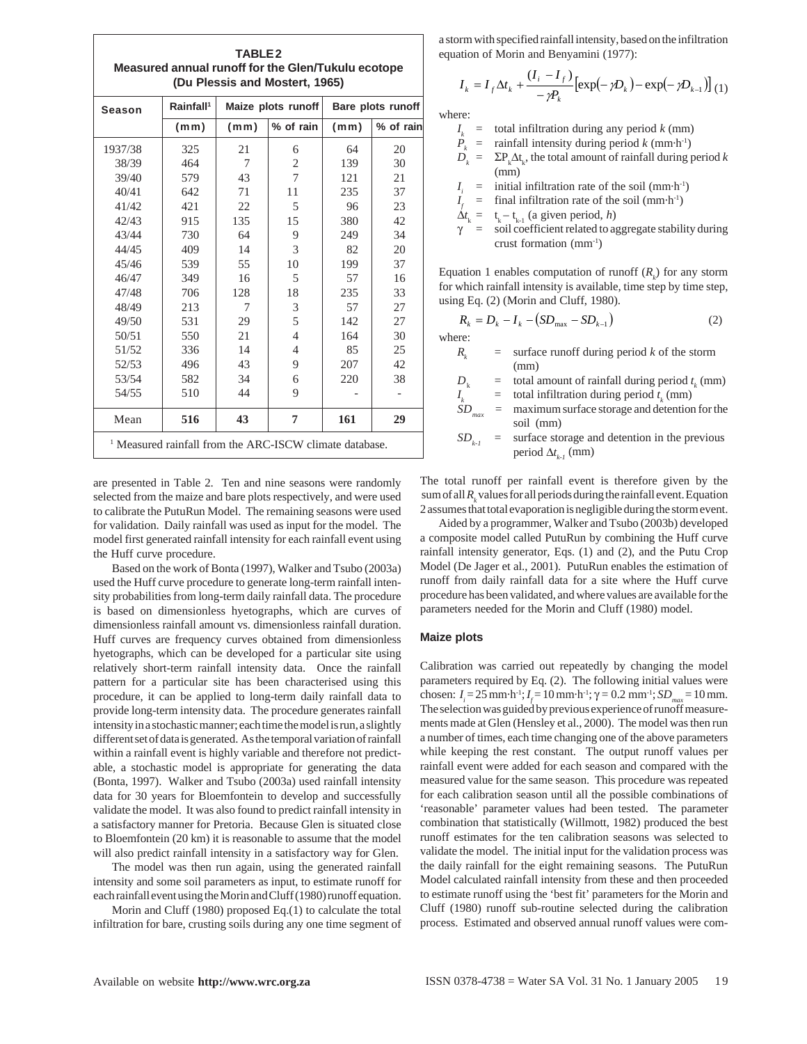| (Du Plessis and Mostert, 1965) |                       |      |                    |                   |           |
|--------------------------------|-----------------------|------|--------------------|-------------------|-----------|
| <b>Season</b>                  | Rainfall <sup>1</sup> |      | Maize plots runoff | Bare plots runoff |           |
|                                | (mm)                  | (mm) | % of rain          | (mm)              | % of rain |
| 1937/38                        | 325                   | 21   | 6                  | 64                | 20        |
| 38/39                          | 464                   | 7    | 2                  | 139               | 30        |
| 39/40                          | 579                   | 43   | 7                  | 121               | 21        |
| 40/41                          | 642                   | 71   | 11                 | 235               | 37        |
| 41/42                          | 421                   | 22   | 5                  | 96                | 23        |
| 42/43                          | 915                   | 135  | 15                 | 380               | 42        |
| 43/44                          | 730                   | 64   | 9                  | 249               | 34        |
| 44/45                          | 409                   | 14   | 3                  | 82                | 20        |
| 45/46                          | 539                   | 55   | 10                 | 199               | 37        |
| 46/47                          | 349                   | 16   | 5                  | 57                | 16        |
| 47/48                          | 706                   | 128  | 18                 | 235               | 33        |
| 48/49                          | 213                   | 7    | 3                  | 57                | 27        |
| 49/50                          | 531                   | 29   | 5                  | 142               | 27        |
| 50/51                          | 550                   | 21   | $\overline{4}$     | 164               | 30        |
| 51/52                          | 336                   | 14   | $\overline{4}$     | 85                | 25        |
| 52/53                          | 496                   | 43   | 9                  | 207               | 42        |
| 53/54                          | 582                   | 34   | 6                  | 220               | 38        |
| 54/55                          | 510                   | 44   | 9                  |                   |           |
| Mean                           | 516                   | 43   | 7                  | 161               | 29        |

**TABLE 2**

are presented in Table 2. Ten and nine seasons were randomly selected from the maize and bare plots respectively, and were used to calibrate the PutuRun Model. The remaining seasons were used for validation. Daily rainfall was used as input for the model. The model first generated rainfall intensity for each rainfall event using the Huff curve procedure.

Based on the work of Bonta (1997), Walker and Tsubo (2003a) used the Huff curve procedure to generate long-term rainfall intensity probabilities from long-term daily rainfall data. The procedure is based on dimensionless hyetographs, which are curves of dimensionless rainfall amount vs. dimensionless rainfall duration. Huff curves are frequency curves obtained from dimensionless hyetographs, which can be developed for a particular site using relatively short-term rainfall intensity data. Once the rainfall pattern for a particular site has been characterised using this procedure, it can be applied to long-term daily rainfall data to provide long-term intensity data. The procedure generates rainfall intensity in a stochastic manner; each time the model is run, a slightly different set of data is generated. As the temporal variation of rainfall within a rainfall event is highly variable and therefore not predictable, a stochastic model is appropriate for generating the data (Bonta, 1997). Walker and Tsubo (2003a) used rainfall intensity data for 30 years for Bloemfontein to develop and successfully validate the model. It was also found to predict rainfall intensity in a satisfactory manner for Pretoria. Because Glen is situated close to Bloemfontein (20 km) it is reasonable to assume that the model will also predict rainfall intensity in a satisfactory way for Glen.

The model was then run again, using the generated rainfall intensity and some soil parameters as input, to estimate runoff for each rainfall event using the Morin and Cluff (1980) runoff equation.

Morin and Cluff (1980) proposed Eq.(1) to calculate the total infiltration for bare, crusting soils during any one time segment of a storm with specified rainfall intensity, based on the infiltration equation of Morin and Benyamini (1977):

$$
I_{k} = I_{f} \Delta t_{k} + \frac{(I_{i} - I_{f})}{-\gamma P_{k}} [\exp(-\gamma D_{k}) - \exp(-\gamma D_{k-1})]_{(1)}
$$

where:

|  | $Ik$ = total infiltration during any period k (mm)                                 |
|--|------------------------------------------------------------------------------------|
|  | $P_{k}$ = rainfall intensity during period k (mm·h <sup>-1</sup> )                 |
|  | $D_{k} = \Sigma P_{k} \Delta t_{k}$ , the total amount of rainfall during period k |
|  | (mm)                                                                               |
|  | $I_i$ = initial infiltration rate of the soil (mm·h <sup>-1</sup> )                |
|  | $I_{\rm r}$ = final infiltration rate of the soil (mm·h <sup>-1</sup> )            |
|  | $\Delta t_{k} = t_{k} - t_{k-1}$ (a given period, h)                               |
|  | $\gamma$ = soil coefficient related to aggregate stability during                  |

Equation 1 enables computation of runoff  $(R_k)$  for any storm for which rainfall intensity is available, time step by time step, using Eq. (2) (Morin and Cluff, 1980).

crust formation (mm-1)

$$
R_k = D_k - I_k - (SD_{\text{max}} - SD_{k-1})
$$
 (2)

where:

*I*

| R, | $=$ surface runoff during period k of the storm |
|----|-------------------------------------------------|
|    | (mm)                                            |

 $D_k$  = total amount of rainfall during period  $t_k$  (mm)

 $\vec{r}_k$  = total infiltration during period  $t_k$  (mm)

 $SD_{\text{max}}$  = maximum surface storage and detention for the soil (mm)

 $SD_{k-1}$  = surface storage and detention in the previous period ∆*t k-1* (mm)

The total runoff per rainfall event is therefore given by the sum of all  $R_k$  values for all periods during the rainfall event. Equation 2 assumes that total evaporation is negligible during the storm event.

Aided by a programmer, Walker and Tsubo (2003b) developed a composite model called PutuRun by combining the Huff curve rainfall intensity generator, Eqs. (1) and (2), and the Putu Crop Model (De Jager et al., 2001). PutuRun enables the estimation of runoff from daily rainfall data for a site where the Huff curve procedure has been validated, and where values are available for the parameters needed for the Morin and Cluff (1980) model.

## **Maize plots**

Calibration was carried out repeatedly by changing the model parameters required by Eq. (2). The following initial values were chosen:  $I_i = 25$  mm·h<sup>-1</sup>;  $I_f = 10$  mm·h<sup>-1</sup>; γ = 0.2 mm<sup>-1</sup>; *SD<sub>max</sub>* = 10 mm. The selection was guided by previous experience of runoff measurements made at Glen (Hensley et al., 2000). The model was then run a number of times, each time changing one of the above parameters while keeping the rest constant. The output runoff values per rainfall event were added for each season and compared with the measured value for the same season. This procedure was repeated for each calibration season until all the possible combinations of 'reasonable' parameter values had been tested. The parameter combination that statistically (Willmott, 1982) produced the best runoff estimates for the ten calibration seasons was selected to validate the model. The initial input for the validation process was the daily rainfall for the eight remaining seasons. The PutuRun Model calculated rainfall intensity from these and then proceeded to estimate runoff using the 'best fit' parameters for the Morin and Cluff (1980) runoff sub-routine selected during the calibration process. Estimated and observed annual runoff values were com-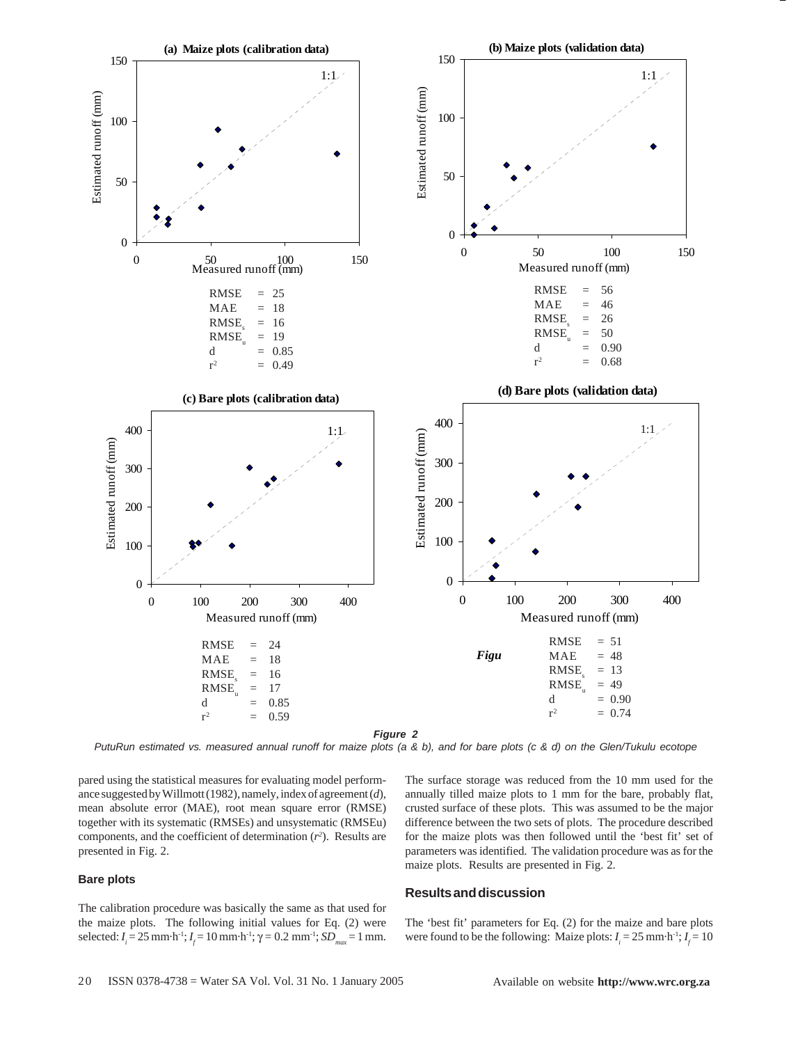

*PutuRun estimated vs. measured annual runoff for maize plots (a & b), and for bare plots (c & d) on the Glen/Tukulu ecotope*

pared using the statistical measures for evaluating model performance suggested by Willmott (1982), namely, index of agreement (*d*), mean absolute error (MAE), root mean square error (RMSE) together with its systematic (RMSEs) and unsystematic (RMSEu) components, and the coefficient of determination  $(r^2)$ . Results are presented in Fig. 2.

### **Bare plots**

The calibration procedure was basically the same as that used for the maize plots. The following initial values for Eq. (2) were selected: *I<sub>i</sub>* = 25 mm·h<sup>-1</sup>; *I<sub>f</sub>* = 10 mm·h<sup>-1</sup>; γ = 0.2 mm<sup>-1</sup>; *SD<sub>max</sub>* = 1 mm.

The surface storage was reduced from the 10 mm used for the annually tilled maize plots to 1 mm for the bare, probably flat, crusted surface of these plots. This was assumed to be the major difference between the two sets of plots. The procedure described for the maize plots was then followed until the 'best fit' set of parameters was identified. The validation procedure was as for the maize plots. Results are presented in Fig. 2.

# **Results and discussion**

The 'best fit' parameters for Eq. (2) for the maize and bare plots were found to be the following: Maize plots:  $I_i = 25$  mm·h<sup>-1</sup>;  $I_f = 10$ 

-